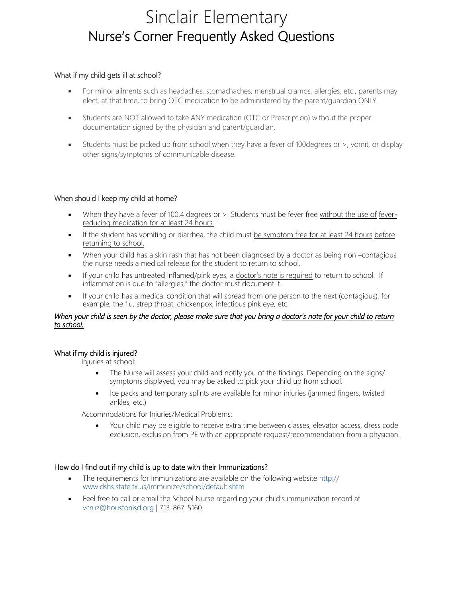# Nurse's Corner Frequently Asked Questions Sinclair Elementary

# What if my child gets ill at school?

- For minor ailments such as headaches, stomachaches, menstrual cramps, allergies, etc., parents may elect, at that time, to bring OTC medication to be administered by the parent/guardian ONLY.
- **•** Students are NOT allowed to take ANY medication (OTC or Prescription) without the proper documentation signed by the physician and parent/guardian.
- Students must be picked up from school when they have a fever of 100degrees or >, vomit, or display other signs/symptoms of communicable disease.

# When should I keep my child at home?

- When they have a fever of 100.4 degrees or >. Students must be fever free without the use of feverreducing medication for at least 24 hours.
- If the student has vomiting or diarrhea, the child must be symptom free for at least 24 hours before returning to school.
- When your child has a skin rash that has not been diagnosed by a doctor as being non –contagious the nurse needs a medical release for the student to return to school.
- **.** If your child has untreated inflamed/pink eyes, a doctor's note is required to return to school. If inflammation is due to "allergies," the doctor must document it.
- If your child has a medical condition that will spread from one person to the next (contagious), for example, the flu, strep throat, chickenpox, infectious pink eye, etc.

#### *When your child is seen by the doctor, please make sure that you bring a doctor's note for your child to return to school.*

# What if my child is injured?

Injuries at school:

- The Nurse will assess your child and notify you of the findings. Depending on the signs/ symptoms displayed, you may be asked to pick your child up from school.
- Ice packs and temporary splints are available for minor injuries (jammed fingers, twisted ankles, etc.)

Accommodations for Injuries/Medical Problems:

• Your child may be eligible to receive extra time between classes, elevator access, dress code exclusion, exclusion from PE with an appropriate request/recommendation from a physician.

#### How do I find out if my child is up to date with their Immunizations?

- **•** [The requirements for immunizations are available on the following website http://](http://www.dshs.state.tx.us/immunize/school/default.shtm) www.dshs.state.tx.us/immunize/school/default.shtm
- Feel free to call or email the School Nurse regarding your child's immunization record at [vcruz@houstonisd.org | 713-](mailto:ahughes6@houstonisd.org)867-5160